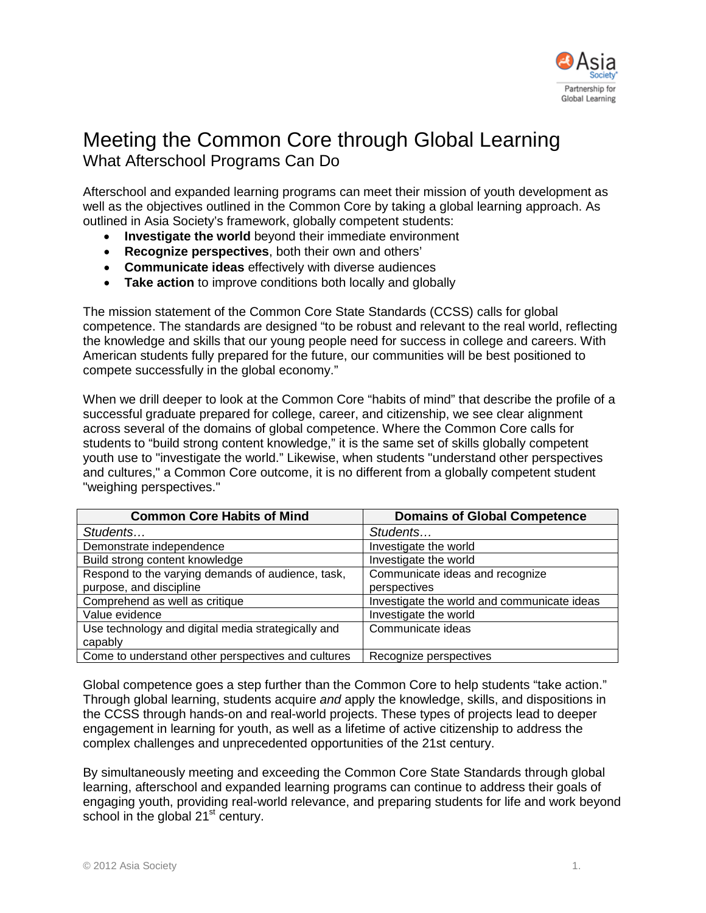

## Meeting the Common Core through Global Learning What Afterschool Programs Can Do

Afterschool and expanded learning programs can meet their mission of youth development as well as the objectives outlined in the Common Core by taking a global learning approach. As outlined in Asia Society's framework, globally competent students:

- **Investigate the world** beyond their immediate environment
- **Recognize perspectives**, both their own and others'
- **Communicate ideas** effectively with diverse audiences
- **Take action** to improve conditions both locally and globally

The mission statement of the Common Core State Standards (CCSS) calls for global competence. The standards are designed "to be robust and relevant to the real world, reflecting the knowledge and skills that our young people need for success in college and careers. With American students fully prepared for the future, our communities will be best positioned to compete successfully in the global economy."

When we drill deeper to look at the Common Core "habits of mind" that describe the profile of a successful graduate prepared for college, career, and citizenship, we see clear alignment across several of the domains of global competence. Where the Common Core calls for students to "build strong content knowledge," it is the same set of skills globally competent youth use to "investigate the world." Likewise, when students "understand other perspectives and cultures," a Common Core outcome, it is no different from a globally competent student "weighing perspectives."

| <b>Common Core Habits of Mind</b>                  | <b>Domains of Global Competence</b>         |  |
|----------------------------------------------------|---------------------------------------------|--|
| Students                                           | Students                                    |  |
| Demonstrate independence                           | Investigate the world                       |  |
| Build strong content knowledge                     | Investigate the world                       |  |
| Respond to the varying demands of audience, task,  | Communicate ideas and recognize             |  |
| purpose, and discipline                            | perspectives                                |  |
| Comprehend as well as critique                     | Investigate the world and communicate ideas |  |
| Value evidence                                     | Investigate the world                       |  |
| Use technology and digital media strategically and | Communicate ideas                           |  |
| capably                                            |                                             |  |
| Come to understand other perspectives and cultures | Recognize perspectives                      |  |

Global competence goes a step further than the Common Core to help students "take action." Through global learning, students acquire *and* apply the knowledge, skills, and dispositions in the CCSS through hands-on and real-world projects. These types of projects lead to deeper engagement in learning for youth, as well as a lifetime of active citizenship to address the complex challenges and unprecedented opportunities of the 21st century.

By simultaneously meeting and exceeding the Common Core State Standards through global learning, afterschool and expanded learning programs can continue to address their goals of engaging youth, providing real-world relevance, and preparing students for life and work beyond school in the global 21<sup>st</sup> century.